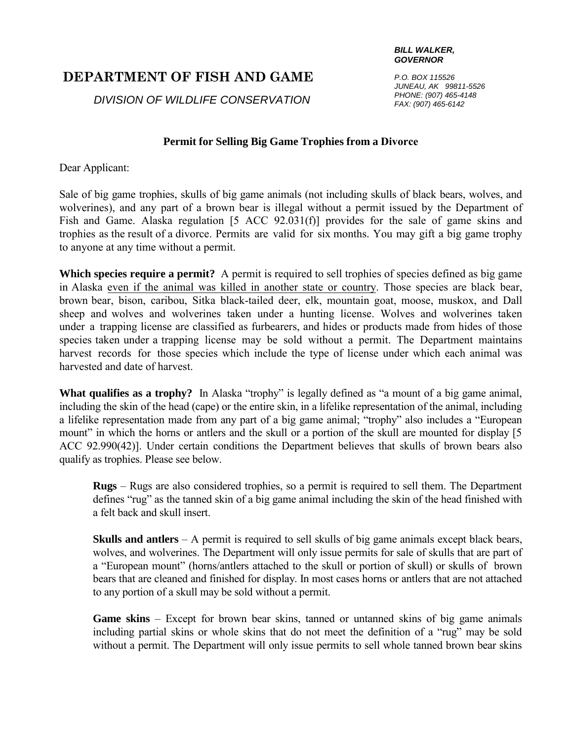## **DEPARTMENT OF FISH AND GAME**

*DIVISION OF WILDLIFE CONSERVATION*

## *BILL WALKER, GOVERNOR*

*P.O. BOX 115526 JUNEAU, AK 99811-5526 PHONE: (907) 465-4148 FAX: (907) 465-6142*

## **Permit for Selling Big Game Trophies from a Divorce**

Dear Applicant:

Sale of big game trophies, skulls of big game animals (not including skulls of black bears, wolves, and wolverines), and any part of a brown bear is illegal without a permit issued by the Department of Fish and Game. Alaska regulation [5 ACC 92.031(f)] provides for the sale of game skins and trophies as the result of a divorce. Permits are valid for six months. You may gift a big game trophy to anyone at any time without a permit.

**Which species require a permit?** A permit is required to sell trophies of species defined as big game in Alaska even if the animal was killed in another state or country. Those species are black bear, brown bear, bison, caribou, Sitka black-tailed deer, elk, mountain goat, moose, muskox, and Dall sheep and wolves and wolverines taken under a hunting license. Wolves and wolverines taken under a trapping license are classified as furbearers, and hides or products made from hides of those species taken under a trapping license may be sold without a permit. The Department maintains harvest records for those species which include the type of license under which each animal was harvested and date of harvest.

**What qualifies as a trophy?** In Alaska "trophy" is legally defined as "a mount of a big game animal, including the skin of the head (cape) or the entire skin, in a lifelike representation of the animal, including a lifelike representation made from any part of a big game animal; "trophy" also includes a "European mount" in which the horns or antlers and the skull or a portion of the skull are mounted for display [5] ACC 92.990(42)]. Under certain conditions the Department believes that skulls of brown bears also qualify as trophies. Please see below.

**Rugs** – Rugs are also considered trophies, so a permit is required to sell them. The Department defines "rug" as the tanned skin of a big game animal including the skin of the head finished with a felt back and skull insert.

**Skulls and antlers** – A permit is required to sell skulls of big game animals except black bears, wolves, and wolverines. The Department will only issue permits for sale of skulls that are part of a "European mount" (horns/antlers attached to the skull or portion of skull) or skulls of brown bears that are cleaned and finished for display. In most cases horns or antlers that are not attached to any portion of a skull may be sold without a permit.

**Game skins** – Except for brown bear skins, tanned or untanned skins of big game animals including partial skins or whole skins that do not meet the definition of a "rug" may be sold without a permit. The Department will only issue permits to sell whole tanned brown bear skins